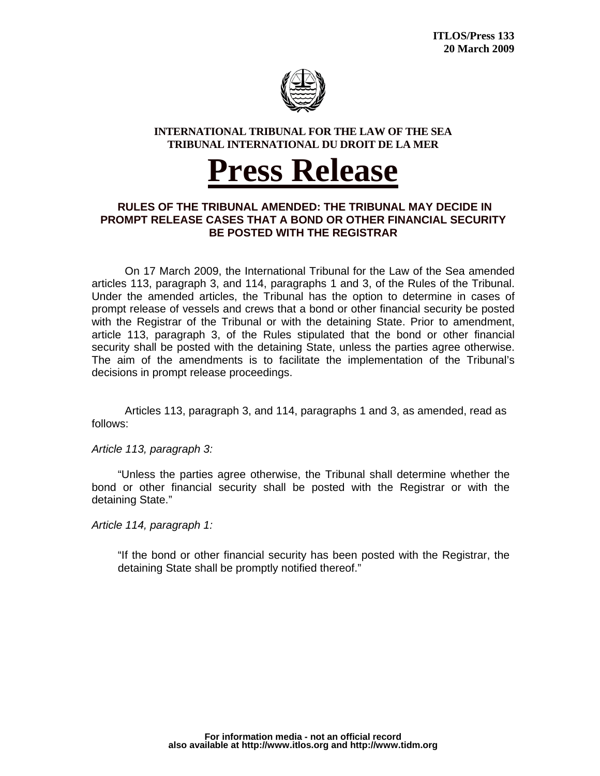

## **INTERNATIONAL TRIBUNAL FOR THE LAW OF THE SEA TRIBUNAL INTERNATIONAL DU DROIT DE LA MER**

## <sup>U</sup>**Press Release**

## **RULES OF THE TRIBUNAL AMENDED: THE TRIBUNAL MAY DECIDE IN PROMPT RELEASE CASES THAT A BOND OR OTHER FINANCIAL SECURITY BE POSTED WITH THE REGISTRAR**

On 17 March 2009, the International Tribunal for the Law of the Sea amended articles 113, paragraph 3, and 114, paragraphs 1 and 3, of the Rules of the Tribunal. Under the amended articles, the Tribunal has the option to determine in cases of prompt release of vessels and crews that a bond or other financial security be posted with the Registrar of the Tribunal or with the detaining State. Prior to amendment, article 113, paragraph 3, of the Rules stipulated that the bond or other financial security shall be posted with the detaining State, unless the parties agree otherwise. The aim of the amendments is to facilitate the implementation of the Tribunal's decisions in prompt release proceedings.

Articles 113, paragraph 3, and 114, paragraphs 1 and 3, as amended, read as follows:

*Article 113, paragraph 3:* 

"Unless the parties agree otherwise, the Tribunal shall determine whether the bond or other financial security shall be posted with the Registrar or with the detaining State."

*Article 114, paragraph 1:* 

"If the bond or other financial security has been posted with the Registrar, the detaining State shall be promptly notified thereof."